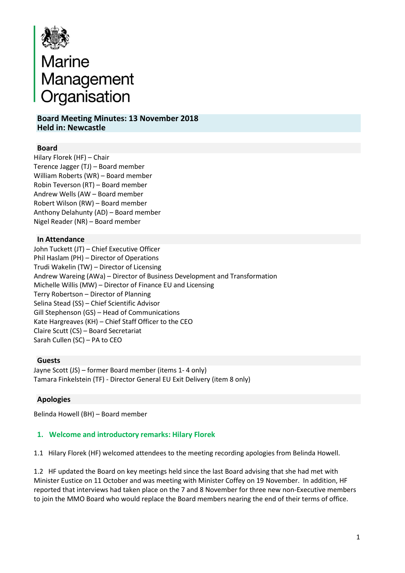

# Marine<br>Management<br>Organisation

**Board Meeting Minutes: 13 November 2018 Held in: Newcastle**

### **Board**

Hilary Florek (HF) – Chair Terence Jagger (TJ) – Board member William Roberts (WR) – Board member Robin Teverson (RT) – Board member Andrew Wells (AW – Board member Robert Wilson (RW) – Board member Anthony Delahunty (AD) – Board member Nigel Reader (NR) – Board member

### **In Attendance**

John Tuckett (JT) – Chief Executive Officer Phil Haslam (PH) – Director of Operations Trudi Wakelin (TW) – Director of Licensing Andrew Wareing (AWa) – Director of Business Development and Transformation Michelle Willis (MW) – Director of Finance EU and Licensing Terry Robertson – Director of Planning Selina Stead (SS) – Chief Scientific Advisor Gill Stephenson (GS) – Head of Communications Kate Hargreaves (KH) – Chief Staff Officer to the CEO Claire Scutt (CS) – Board Secretariat Sarah Cullen (SC) – PA to CEO

### **Guests**

Jayne Scott (JS) – former Board member (items 1- 4 only) Tamara Finkelstein (TF) - Director General EU Exit Delivery (item 8 only)

# **Apologies**

Belinda Howell (BH) – Board member

# **1. Welcome and introductory remarks: Hilary Florek**

1.1 Hilary Florek (HF) welcomed attendees to the meeting recording apologies from Belinda Howell.

1.2 HF updated the Board on key meetings held since the last Board advising that she had met with Minister Eustice on 11 October and was meeting with Minister Coffey on 19 November. In addition, HF reported that interviews had taken place on the 7 and 8 November for three new non-Executive members to join the MMO Board who would replace the Board members nearing the end of their terms of office.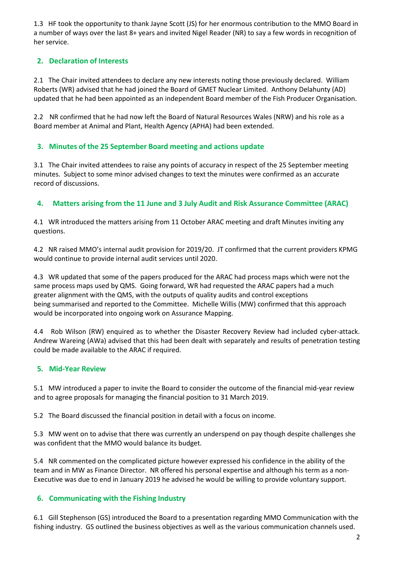1.3 HF took the opportunity to thank Jayne Scott (JS) for her enormous contribution to the MMO Board in a number of ways over the last 8+ years and invited Nigel Reader (NR) to say a few words in recognition of her service.

# **2. Declaration of Interests**

2.1 The Chair invited attendees to declare any new interests noting those previously declared. William Roberts (WR) advised that he had joined the Board of GMET Nuclear Limited. Anthony Delahunty (AD) updated that he had been appointed as an independent Board member of the Fish Producer Organisation.

2.2 NR confirmed that he had now left the Board of Natural Resources Wales (NRW) and his role as a Board member at Animal and Plant, Health Agency (APHA) had been extended.

# **3. Minutes of the 25 September Board meeting and actions update**

3.1 The Chair invited attendees to raise any points of accuracy in respect of the 25 September meeting minutes. Subject to some minor advised changes to text the minutes were confirmed as an accurate record of discussions.

# **4. Matters arising from the 11 June and 3 July Audit and Risk Assurance Committee (ARAC)**

4.1 WR introduced the matters arising from 11 October ARAC meeting and draft Minutes inviting any questions.

4.2 NR raised MMO's internal audit provision for 2019/20. JT confirmed that the current providers KPMG would continue to provide internal audit services until 2020.

4.3 WR updated that some of the papers produced for the ARAC had process maps which were not the same process maps used by QMS. Going forward, WR had requested the ARAC papers had a much greater alignment with the QMS, with the outputs of quality audits and control exceptions being summarised and reported to the Committee. Michelle Willis (MW) confirmed that this approach would be incorporated into ongoing work on Assurance Mapping.

4.4 Rob Wilson (RW) enquired as to whether the Disaster Recovery Review had included cyber-attack. Andrew Wareing (AWa) advised that this had been dealt with separately and results of penetration testing could be made available to the ARAC if required.

# **5. Mid-Year Review**

5.1 MW introduced a paper to invite the Board to consider the outcome of the financial mid-year review and to agree proposals for managing the financial position to 31 March 2019.

5.2 The Board discussed the financial position in detail with a focus on income.

5.3 MW went on to advise that there was currently an underspend on pay though despite challenges she was confident that the MMO would balance its budget.

5.4 NR commented on the complicated picture however expressed his confidence in the ability of the team and in MW as Finance Director. NR offered his personal expertise and although his term as a non-Executive was due to end in January 2019 he advised he would be willing to provide voluntary support.

# **6. Communicating with the Fishing Industry**

6.1 Gill Stephenson (GS) introduced the Board to a presentation regarding MMO Communication with the fishing industry. GS outlined the business objectives as well as the various communication channels used.